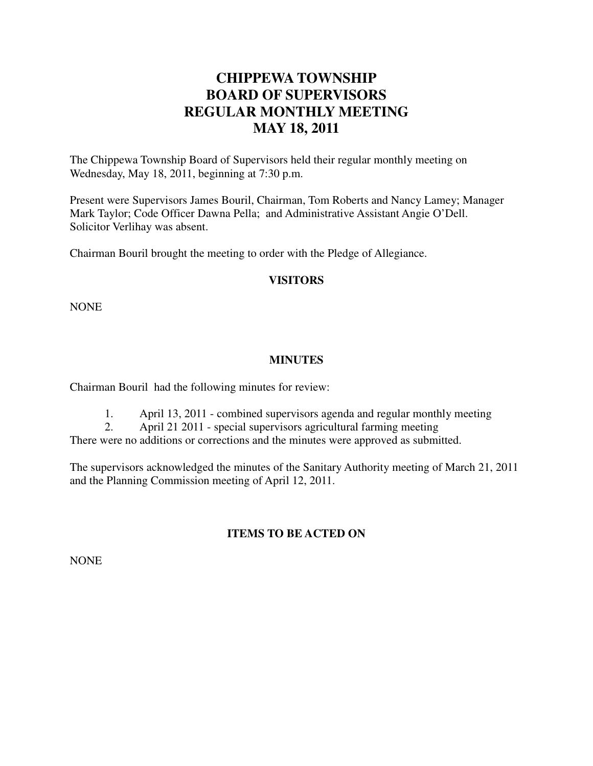# **CHIPPEWA TOWNSHIP BOARD OF SUPERVISORS REGULAR MONTHLY MEETING MAY 18, 2011**

The Chippewa Township Board of Supervisors held their regular monthly meeting on Wednesday, May 18, 2011, beginning at 7:30 p.m.

Present were Supervisors James Bouril, Chairman, Tom Roberts and Nancy Lamey; Manager Mark Taylor; Code Officer Dawna Pella; and Administrative Assistant Angie O'Dell. Solicitor Verlihay was absent.

Chairman Bouril brought the meeting to order with the Pledge of Allegiance.

#### **VISITORS**

NONE

#### **MINUTES**

Chairman Bouril had the following minutes for review:

1. April 13, 2011 - combined supervisors agenda and regular monthly meeting

2. April 21 2011 - special supervisors agricultural farming meeting

There were no additions or corrections and the minutes were approved as submitted.

The supervisors acknowledged the minutes of the Sanitary Authority meeting of March 21, 2011 and the Planning Commission meeting of April 12, 2011.

# **ITEMS TO BE ACTED ON**

NONE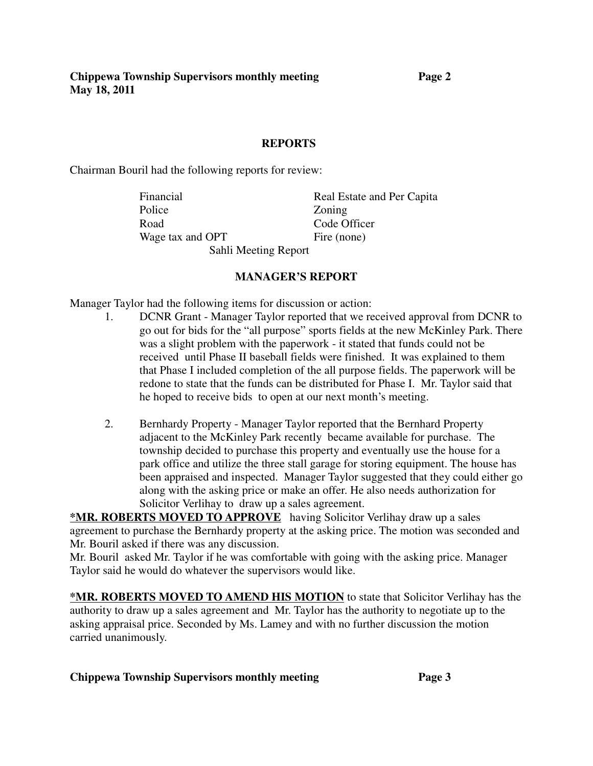**Chippewa Township Supervisors monthly meeting Page 2 May 18, 2011**

#### **REPORTS**

Chairman Bouril had the following reports for review:

Financial Real Estate and Per Capita Police **Zoning** Road Code Officer Wage tax and OPT Fire (none)

Sahli Meeting Report

#### **MANAGER'S REPORT**

Manager Taylor had the following items for discussion or action:

- 1. DCNR Grant Manager Taylor reported that we received approval from DCNR to go out for bids for the "all purpose" sports fields at the new McKinley Park. There was a slight problem with the paperwork - it stated that funds could not be received until Phase II baseball fields were finished. It was explained to them that Phase I included completion of the all purpose fields. The paperwork will be redone to state that the funds can be distributed for Phase I. Mr. Taylor said that he hoped to receive bids to open at our next month's meeting.
- 2. Bernhardy Property Manager Taylor reported that the Bernhard Property adjacent to the McKinley Park recently became available for purchase. The township decided to purchase this property and eventually use the house for a park office and utilize the three stall garage for storing equipment. The house has been appraised and inspected. Manager Taylor suggested that they could either go along with the asking price or make an offer. He also needs authorization for Solicitor Verlihay to draw up a sales agreement.

**\*MR. ROBERTS MOVED TO APPROVE** having Solicitor Verlihay draw up a sales agreement to purchase the Bernhardy property at the asking price. The motion was seconded and Mr. Bouril asked if there was any discussion.

Mr. Bouril asked Mr. Taylor if he was comfortable with going with the asking price. Manager Taylor said he would do whatever the supervisors would like.

**\*MR. ROBERTS MOVED TO AMEND HIS MOTION** to state that Solicitor Verlihay has the authority to draw up a sales agreement and Mr. Taylor has the authority to negotiate up to the asking appraisal price. Seconded by Ms. Lamey and with no further discussion the motion carried unanimously.

#### **Chippewa Township Supervisors monthly meeting Page 3**